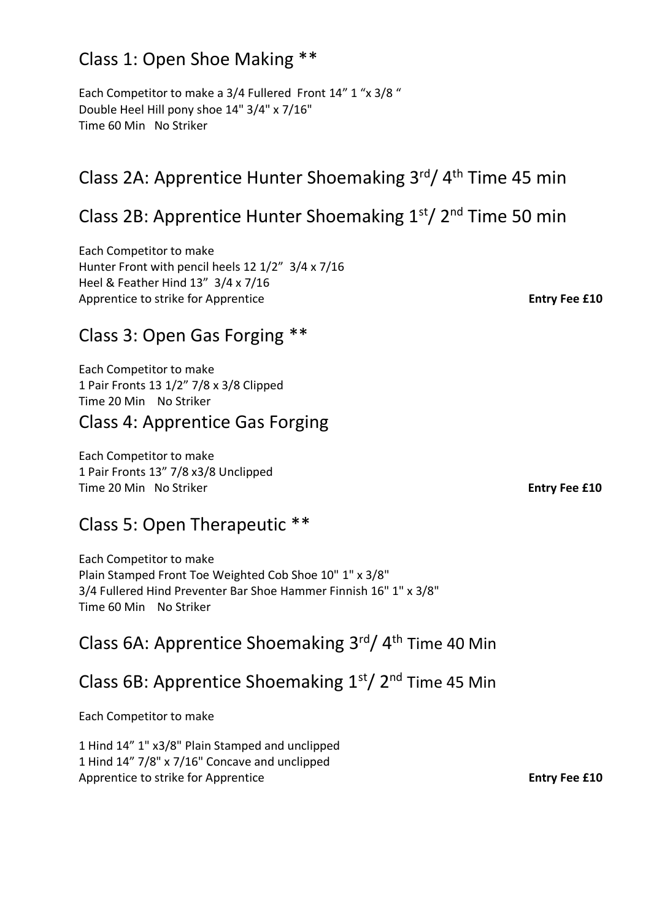## Class 1: Open Shoe Making \*\*

Each Competitor to make a 3/4 Fullered Front 14" 1 "x 3/8 " Double Heel Hill pony shoe 14" 3/4" x 7/16" Time 60 Min No Striker

# Class 2A: Apprentice Hunter Shoemaking 3<sup>rd</sup>/ 4<sup>th</sup> Time 45 min

# Class 2B: Apprentice Hunter Shoemaking 1st/ 2nd Time 50 min

Each Competitor to make Hunter Front with pencil heels 12 1/2" 3/4 x 7/16 Heel & Feather Hind 13" 3/4 x 7/16 Apprentice to strike for Apprentice **Entry Fee £10** 

## Class 3: Open Gas Forging \*\*

Each Competitor to make 1 Pair Fronts 13 1/2" 7/8 x 3/8 Clipped Time 20 Min No Striker

### Class 4: Apprentice Gas Forging

Each Competitor to make 1 Pair Fronts 13" 7/8 x3/8 Unclipped Time 20 Min No Striker **Entry Fee £10** 

### Class 5: Open Therapeutic \*\*

Each Competitor to make Plain Stamped Front Toe Weighted Cob Shoe 10" 1" x 3/8" 3/4 Fullered Hind Preventer Bar Shoe Hammer Finnish 16" 1" x 3/8" Time 60 Min No Striker

# Class 6A: Apprentice Shoemaking 3<sup>rd</sup>/ 4<sup>th</sup> Time 40 Min

### Class 6B: Apprentice Shoemaking  $1<sup>st</sup>/ 2<sup>nd</sup>$  Time 45 Min

Each Competitor to make

1 Hind 14" 1" x3/8" Plain Stamped and unclipped 1 Hind 14" 7/8" x 7/16" Concave and unclipped Apprentice to strike for Apprentice **Entry Fee £10**